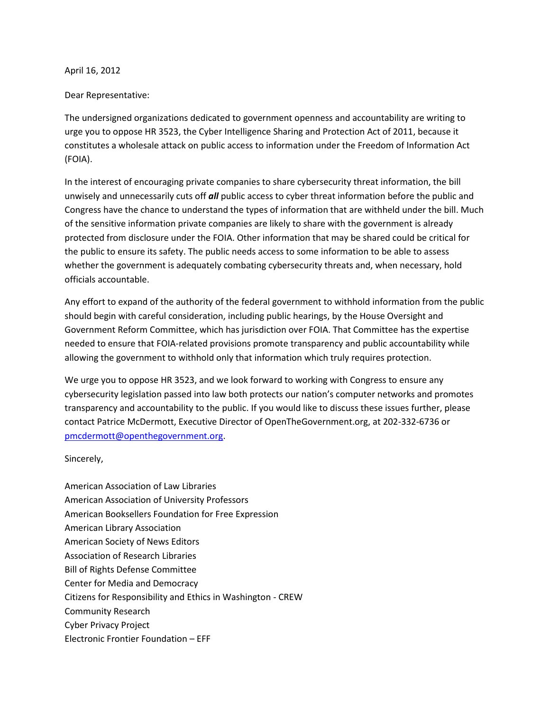## April 16, 2012

## Dear Representative:

The undersigned organizations dedicated to government openness and accountability are writing to urge you to oppose HR 3523, the Cyber Intelligence Sharing and Protection Act of 2011, because it constitutes a wholesale attack on public access to information under the Freedom of Information Act (FOIA).

In the interest of encouraging private companies to share cybersecurity threat information, the bill unwisely and unnecessarily cuts off *all* public access to cyber threat information before the public and Congress have the chance to understand the types of information that are withheld under the bill. Much of the sensitive information private companies are likely to share with the government is already protected from disclosure under the FOIA. Other information that may be shared could be critical for the public to ensure its safety. The public needs access to some information to be able to assess whether the government is adequately combating cybersecurity threats and, when necessary, hold officials accountable.

Any effort to expand of the authority of the federal government to withhold information from the public should begin with careful consideration, including public hearings, by the House Oversight and Government Reform Committee, which has jurisdiction over FOIA. That Committee has the expertise needed to ensure that FOIA-related provisions promote transparency and public accountability while allowing the government to withhold only that information which truly requires protection.

We urge you to oppose HR 3523, and we look forward to working with Congress to ensure any cybersecurity legislation passed into law both protects our nation's computer networks and promotes transparency and accountability to the public. If you would like to discuss these issues further, please contact Patrice McDermott, Executive Director of OpenTheGovernment.org, at 202-332-6736 or [pmcdermott@openthegovernment.org.](mailto:pmcdermott@openthegovernment.org)

Sincerely,

American Association of Law Libraries American Association of University Professors American Booksellers Foundation for Free Expression American Library Association American Society of News Editors Association of Research Libraries Bill of Rights Defense Committee Center for Media and Democracy Citizens for Responsibility and Ethics in Washington - CREW Community Research Cyber Privacy Project Electronic Frontier Foundation – EFF